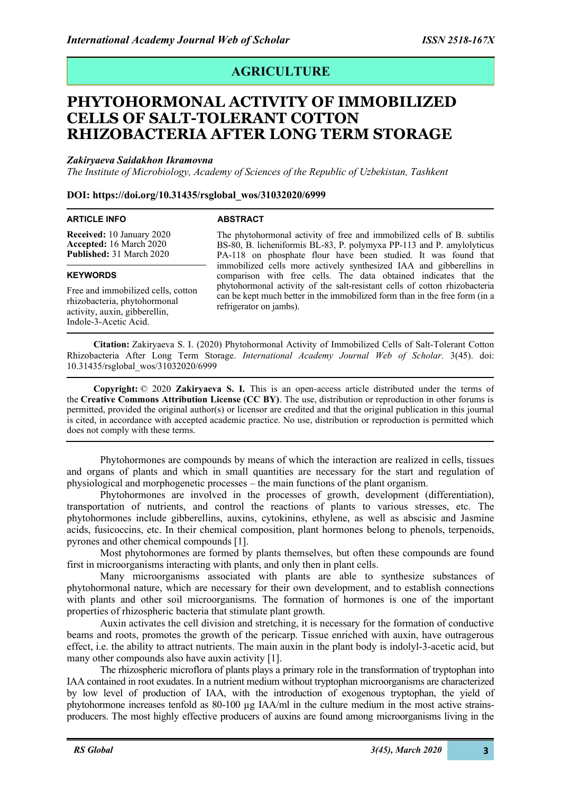# **AGRICULTURE**

# **PHYTOHORMONAL ACTIVITY OF IMMOBILIZED CELLS OF SALT-TOLERANT COTTON RHIZOBACTERIA AFTER LONG TERM STORAGE**

## *Zakiryaeva Saidakhon Ikramovna*

*The Institute of Microbiology, Academy of Sciences of the Republic of Uzbekistan, Tashkent*

## **DOI: https://doi.org/10.31435/rsglobal\_wos/31032020/6999**

#### **ARTICLE INFO**

## **ABSTRACT**

**Received:** 10 January 2020 **Accepted:** 16 March 2020 **Published:** 31 March 2020

### **KEYWORDS**

Free and immobilized cells, cotton rhizobacteria, phytohormonal activity, auxin, gibberellin, Indole-3-Acetic Acid.

The phytohormonal activity of free and immobilized cells of B. subtilis BS-80, B. licheniformis BL-83, P. polymyxa PP-113 and P. amylolyticus PA-118 on phosphate flour have been studied. It was found that immobilized cells more actively synthesized IAA and gibberellins in comparison with free cells. The data obtained indicates that the phytohormonal activity of the salt-resistant cells of cotton rhizobacteria can be kept much better in the immobilized form than in the free form (in a refrigerator on jambs).

**Citation:** Zakiryaeva S. I. (2020) Phytohormonal Activity of Immobilized Cells of Salt-Tolerant Cotton Rhizobacteria After Long Term Storage. *International Academy Journal Web of Scholar.* 3(45). doi: 10.31435/rsglobal\_wos/31032020/6999

**Copyright:** © 2020 **Zakiryaeva S. I.** This is an open-access article distributed under the terms of the **Creative Commons Attribution License (CC BY)**. The use, distribution or reproduction in other forums is permitted, provided the original author(s) or licensor are credited and that the original publication in this journal is cited, in accordance with accepted academic practice. No use, distribution or reproduction is permitted which does not comply with these terms.

Phytohormones are compounds by means of which the interaction are realized in cells, tissues and organs of plants and which in small quantities are necessary for the start and regulation of physiological and morphogenetic processes – the main functions of the plant organism.

Phytohormones are involved in the processes of growth, development (differentiation), transportation of nutrients, and control the reactions of plants to various stresses, etc. The phytohormones include gibberellins, auxins, cytokinins, ethylene, as well as abscisic and Jasmine acids, fusicoccins, etc. In their chemical composition, plant hormones belong to phenols, terpenoids, pyrones and other chemical compounds [1].

Most phytohormones are formed by plants themselves, but often these compounds are found first in microorganisms interacting with plants, and only then in plant cells.

Many microorganisms associated with plants are able to synthesize substances of phytohormonal nature, which are necessary for their own development, and to establish connections with plants and other soil microorganisms. The formation of hormones is one of the important properties of rhizospheric bacteria that stimulate plant growth.

Auxin activates the cell division and stretching, it is necessary for the formation of conductive beams and roots, promotes the growth of the pericarp. Tissue enriched with auxin, have outragerous effect, i.e. the ability to attract nutrients. The main auxin in the plant body is indolyl-3-acetic acid, but many other compounds also have auxin activity [1].

The rhizospheric microflora of plants plays a primary role in the transformation of tryptophan into IAA contained in root exudates. In a nutrient medium without tryptophan microorganisms are characterized by low level of production of IAA, with the introduction of exogenous tryptophan, the yield of phytohormone increases tenfold as 80-100 µg IAA/ml in the culture medium in the most active strainsproducers. The most highly effective producers of auxins are found among microorganisms living in the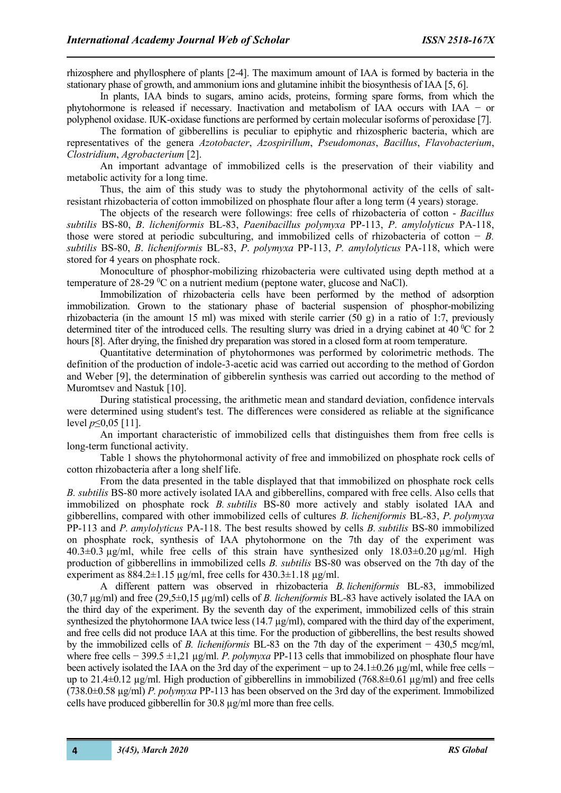rhizosphere and phyllosphere of plants [2-4]. The maximum amount of IAA is formed by bacteria in the stationary phase of growth, and ammonium ions and glutamine inhibit the biosynthesis of IAA [5, 6].

In plants, IAA binds to sugars, amino acids, proteins, forming spare forms, from which the phytohormone is released if necessary. Inactivation and metabolism of IAA occurs with IAA − or polyphenol oxidase. IUK-oxidase functions are performed by certain molecular isoforms of peroxidase [7].

The formation of gibberellins is peculiar to epiphytic and rhizospheric bacteria, which are representatives of the genera *Azotobacter*, *Azospirillum*, *Pseudomonas*, *Bacillus*, *Flavobacterium*, *Clostridium*, *Agrobacterium* [2].

An important advantage of immobilized cells is the preservation of their viability and metabolic activity for a long time.

Thus, the aim of this study was to study the phytohormonal activity of the cells of saltresistant rhizobacteria of cotton immobilized on phosphate flour after a long term (4 years) storage.

The objects of the research were followings: free cells of rhizobacteria of cotton - *Bacillus subtilis* BS-80, *B*. *licheniformis* BL-83, *Paenibacillus polymyxa* PP-113, *P*. *amylolyticus* PA-118, those were stored at periodic subculturing, and immobilized cells of rhizobacteria of cotton − *B. subtilis* BS-80, *B*. *licheniformis* BL-83, *P*. *polymyxa* PP-113, *P. amylolyticus* PA-118, which were stored for 4 years on phosphate rock.

Monoculture of phosphor-mobilizing rhizobacteria were cultivated using depth method at a temperature of 28-29  $\rm{^0C}$  on a nutrient medium (peptone water, glucose and NaCl).

Immobilization of rhizobacteria cells have been performed by the method of adsorption immobilization. Grown to the stationary phase of bacterial suspension of phosphor-mobilizing rhizobacteria (in the amount 15 ml) was mixed with sterile carrier (50 g) in a ratio of 1:7, previously determined titer of the introduced cells. The resulting slurry was dried in a drying cabinet at 40 $\degree$ C for 2 hours [8]. After drying, the finished dry preparation was stored in a closed form at room temperature.

Quantitative determination of phytohormones was performed by colorimetric methods. The definition of the production of indole-3-acetic acid was carried out according to the method of Gordon and Weber [9], the determination of gibberelin synthesis was carried out according to the method of Muromtsev and Nastuk [10].

During statistical processing, the arithmetic mean and standard deviation, confidence intervals were determined using student's test. The differences were considered as reliable at the significance level *p*≤0,05 [11].

An important characteristic of immobilized cells that distinguishes them from free cells is long-term functional activity.

Table 1 shows the phytohormonal activity of free and immobilized on phosphate rock cells of cotton rhizobacteria after a long shelf life.

From the data presented in the table displayed that that immobilized on phosphate rock cells *B. subtilis* BS-80 more actively isolated IAA and gibberellins, compared with free cells. Also cells that immobilized on phosphate rock *B. subtilis* BS-80 more actively and stably isolated IAA and gibberellins, compared with other immobilized cells of cultures *B. licheniformis* BL-83, *P. polymyxa* PP-113 and *P. amylolyticus* PA-118. The best results showed by cells *B. subtilis* BS-80 immobilized on phosphate rock, synthesis of IAA phytohormone on the 7th day of the experiment was  $40.3\pm0.3$   $\mu$ g/ml, while free cells of this strain have synthesized only  $18.03\pm0.20$   $\mu$ g/ml. High production of gibberellins in immobilized cells *B. subtilis* BS-80 was observed on the 7th day of the experiment as  $884.2 \pm 1.15 \mu g/ml$ , free cells for  $430.3 \pm 1.18 \mu g/ml$ .

A different pattern was observed in rhizobacteria *B. licheniformis* BL-83, immobilized (30,7 µg/ml) and free (29,5±0,15 µg/ml) cells of *B. licheniformis* BL-83 have actively isolated the IAA on the third day of the experiment. By the seventh day of the experiment, immobilized cells of this strain synthesized the phytohormone IAA twice less ( $14.7 \mu g/ml$ ), compared with the third day of the experiment, and free cells did not produce IAA at this time. For the production of gibberellins, the best results showed by the immobilized cells of *B. licheniformis* BL-83 on the 7th day of the experiment − 430,5 mcg/ml, where free cells − 399.5 ±1,21 µg/ml. *P. polymyxa* PP-113 cells that immobilized on phosphate flour have been actively isolated the IAA on the 3rd day of the experiment – up to 24.1±0.26 μg/ml, while free cells − up to 21.4 $\pm$ 0.12 µg/ml. High production of gibberellins in immobilized (768.8 $\pm$ 0.61 µg/ml) and free cells (738.0±0.58 µg/ml) *P. polymyxa* PP-113 has been observed on the 3rd day of the experiment. Immobilized cells have produced gibberellin for 30.8 µg/ml more than free cells.